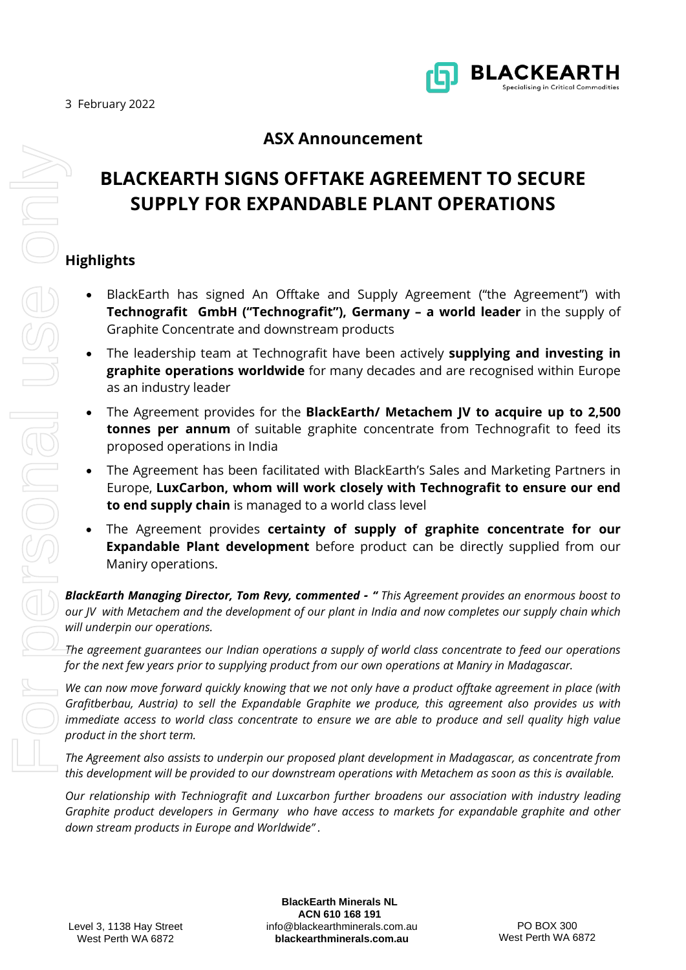

## **ASX Announcement**

# **BLACKEARTH SIGNS OFFTAKE AGREEMENT TO SECURE SUPPLY FOR EXPANDABLE PLANT OPERATIONS**

### **Highlights**

- BlackEarth has signed An Offtake and Supply Agreement ("the Agreement") with **Technografit GmbH ("Technografit"), Germany – a world leader** in the supply of Graphite Concentrate and downstream products
- The leadership team at Technografit have been actively **supplying and investing in graphite operations worldwide** for many decades and are recognised within Europe as an industry leader
- The Agreement provides for the **BlackEarth/ Metachem JV to acquire up to 2,500 tonnes per annum** of suitable graphite concentrate from Technografit to feed its proposed operations in India
- The Agreement has been facilitated with BlackEarth's Sales and Marketing Partners in Europe, **LuxCarbon, whom will work closely with Technografit to ensure our end to end supply chain** is managed to a world class level
- The Agreement provides **certainty of supply of graphite concentrate for our Expandable Plant development** before product can be directly supplied from our Maniry operations.

*BlackEarth Managing Director, Tom Revy, commented - " This Agreement provides an enormous boost to our JV with Metachem and the development of our plant in India and now completes our supply chain which will underpin our operations.*

*The agreement guarantees our Indian operations a supply of world class concentrate to feed our operations for the next few years prior to supplying product from our own operations at Maniry in Madagascar.*

*We can now move forward quickly knowing that we not only have a product offtake agreement in place (with Grafitberbau, Austria) to sell the Expandable Graphite we produce, this agreement also provides us with immediate access to world class concentrate to ensure we are able to produce and sell quality high value product in the short term.*

*The Agreement also assists to underpin our proposed plant development in Madagascar, as concentrate from this development will be provided to our downstream operations with Metachem as soon as this is available.*

*Our relationship with Techniografit and Luxcarbon further broadens our association with industry leading Graphite product developers in Germany who have access to markets for expandable graphite and other* 

[info@blackearthminerals.com.au](mailto:info@blackearthminerals.com.au) **blackearthminerals.com.au BlackEarth Minerals NL ACN 610 168 191**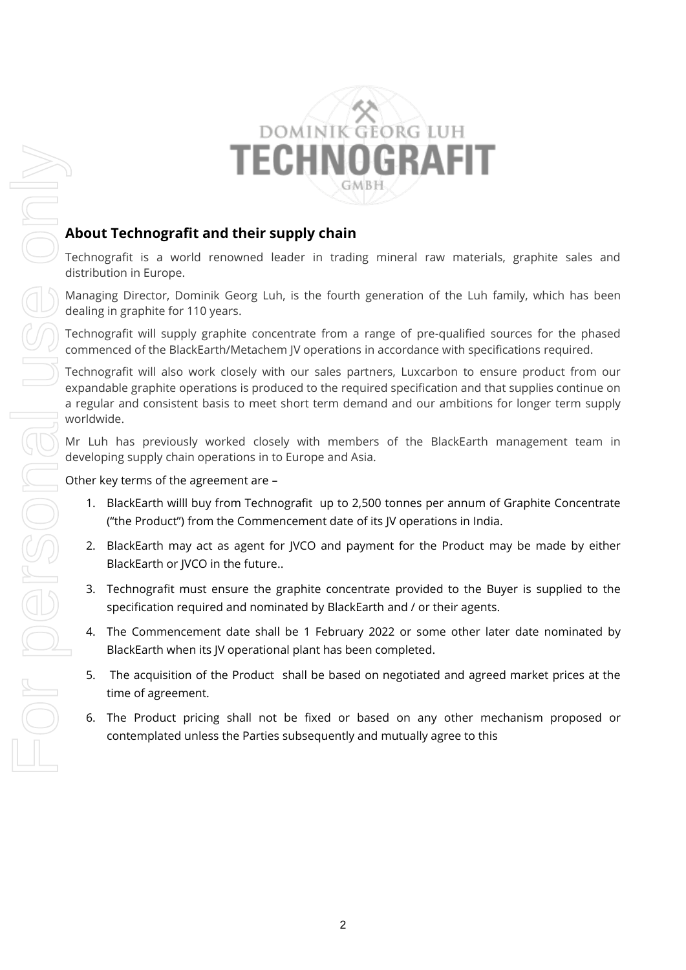

### **About Technografit and their supply chain**

Technografit is a world renowned leader in trading mineral raw materials, graphite sales and distribution in Europe.

Managing Director, Dominik Georg Luh, is the fourth generation of the Luh family, which has been dealing in graphite for 110 years.

Technografit will supply graphite concentrate from a range of pre-qualified sources for the phased commenced of the BlackEarth/Metachem JV operations in accordance with specifications required.

Technografit will also work closely with our sales partners, Luxcarbon to ensure product from our expandable graphite operations is produced to the required specification and that supplies continue on a regular and consistent basis to meet short term demand and our ambitions for longer term supply worldwide.

Mr Luh has previously worked closely with members of the BlackEarth management team in developing supply chain operations in to Europe and Asia.

Other key terms of the agreement are –

- 1. BlackEarth willl buy from Technografit up to 2,500 tonnes per annum of Graphite Concentrate ("the Product") from the Commencement date of its JV operations in India.
- 2. BlackEarth may act as agent for JVCO and payment for the Product may be made by either BlackEarth or JVCO in the future..
- 3. Technografit must ensure the graphite concentrate provided to the Buyer is supplied to the specification required and nominated by BlackEarth and / or their agents.
- 4. The Commencement date shall be 1 February 2022 or some other later date nominated by BlackEarth when its JV operational plant has been completed.
- 5. The acquisition of the Product shall be based on negotiated and agreed market prices at the time of agreement.
- 6. The Product pricing shall not be fixed or based on any other mechanism proposed or contemplated unless the Parties subsequently and mutually agree to this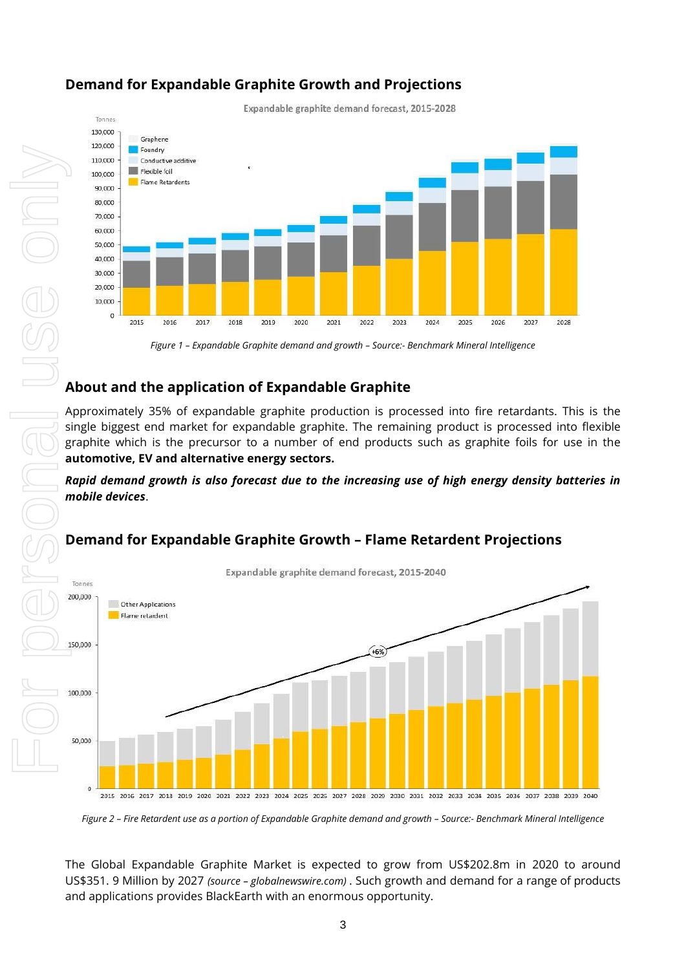

## **Demand for Expandable Graphite Growth and Projections**

Expandable graphite demand forecast, 2015-2028

*Figure 1 – Expandable Graphite demand and growth – Source:- Benchmark Mineral Intelligence*

### **About and the application of Expandable Graphite**

Approximately 35% of expandable graphite production is processed into fire retardants. This is the single biggest end market for expandable graphite. The remaining product is processed into flexible graphite which is the precursor to a number of end products such as graphite foils for use in the **automotive, EV and alternative energy sectors.**

#### *Rapid demand growth is also forecast due to the increasing use of high energy density batteries in mobile devices*.

## **Demand for Expandable Graphite Growth – Flame Retardent Projections**



*Figure 2 – Fire Retardent use as a portion of Expandable Graphite demand and growth – Source:- Benchmark Mineral Intelligence*

The Global Expandable Graphite Market is expected to grow from US\$202.8m in 2020 to around US\$351. 9 Million by 2027 *(source – globalnewswire.com)* . Such growth and demand for a range of products